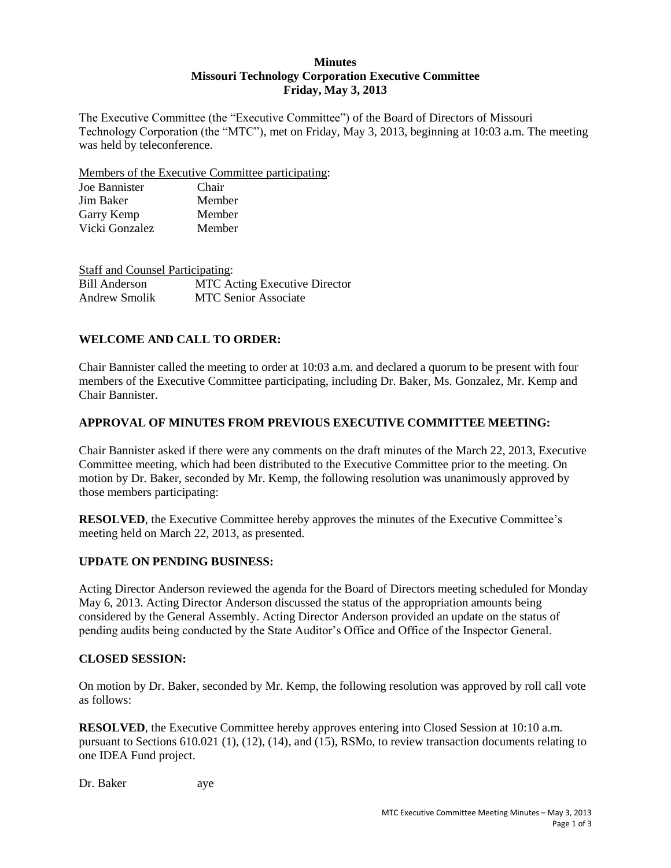### **Minutes Missouri Technology Corporation Executive Committee Friday, May 3, 2013**

The Executive Committee (the "Executive Committee") of the Board of Directors of Missouri Technology Corporation (the "MTC"), met on Friday, May 3, 2013, beginning at 10:03 a.m. The meeting was held by teleconference.

Members of the Executive Committee participating:

| Joe Bannister  | Chair  |
|----------------|--------|
| Jim Baker      | Member |
| Garry Kemp     | Member |
| Vicki Gonzalez | Member |

| <b>Staff and Counsel Participating:</b> |                                      |
|-----------------------------------------|--------------------------------------|
| <b>Bill Anderson</b>                    | <b>MTC</b> Acting Executive Director |
| Andrew Smolik                           | <b>MTC Senior Associate</b>          |

# **WELCOME AND CALL TO ORDER:**

Chair Bannister called the meeting to order at 10:03 a.m. and declared a quorum to be present with four members of the Executive Committee participating, including Dr. Baker, Ms. Gonzalez, Mr. Kemp and Chair Bannister.

### **APPROVAL OF MINUTES FROM PREVIOUS EXECUTIVE COMMITTEE MEETING:**

Chair Bannister asked if there were any comments on the draft minutes of the March 22, 2013, Executive Committee meeting, which had been distributed to the Executive Committee prior to the meeting. On motion by Dr. Baker, seconded by Mr. Kemp, the following resolution was unanimously approved by those members participating:

**RESOLVED**, the Executive Committee hereby approves the minutes of the Executive Committee's meeting held on March 22, 2013, as presented.

#### **UPDATE ON PENDING BUSINESS:**

Acting Director Anderson reviewed the agenda for the Board of Directors meeting scheduled for Monday May 6, 2013. Acting Director Anderson discussed the status of the appropriation amounts being considered by the General Assembly. Acting Director Anderson provided an update on the status of pending audits being conducted by the State Auditor's Office and Office of the Inspector General.

#### **CLOSED SESSION:**

On motion by Dr. Baker, seconded by Mr. Kemp, the following resolution was approved by roll call vote as follows:

**RESOLVED**, the Executive Committee hereby approves entering into Closed Session at 10:10 a.m. pursuant to Sections 610.021 (1), (12), (14), and (15), RSMo, to review transaction documents relating to one IDEA Fund project.

Dr. Baker aye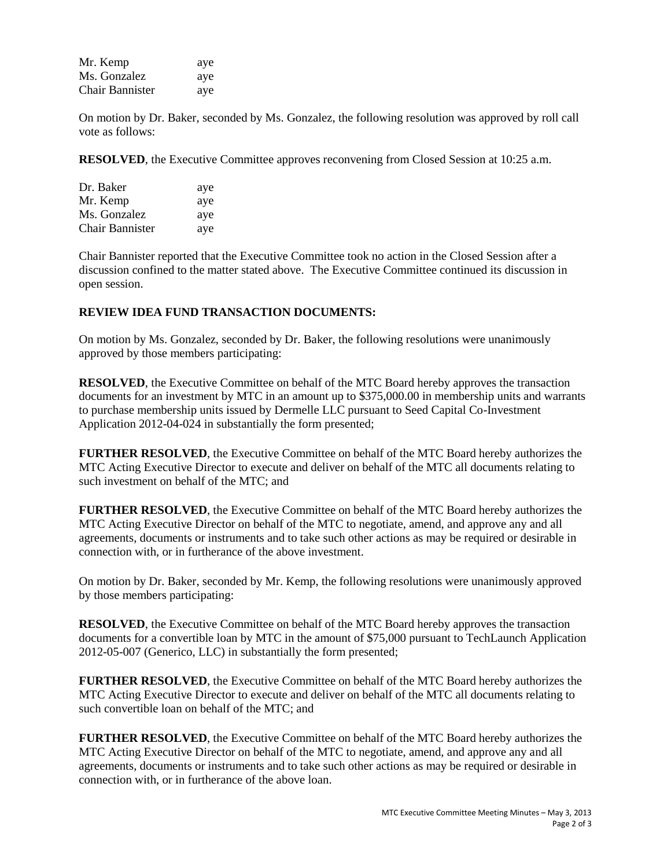| Mr. Kemp               | aye |
|------------------------|-----|
| Ms. Gonzalez           | aye |
| <b>Chair Bannister</b> | aye |

On motion by Dr. Baker, seconded by Ms. Gonzalez, the following resolution was approved by roll call vote as follows:

**RESOLVED**, the Executive Committee approves reconvening from Closed Session at 10:25 a.m.

| Dr. Baker       | aye |
|-----------------|-----|
| Mr. Kemp        | aye |
| Ms. Gonzalez    | aye |
| Chair Bannister | aye |

Chair Bannister reported that the Executive Committee took no action in the Closed Session after a discussion confined to the matter stated above. The Executive Committee continued its discussion in open session.

#### **REVIEW IDEA FUND TRANSACTION DOCUMENTS:**

On motion by Ms. Gonzalez, seconded by Dr. Baker, the following resolutions were unanimously approved by those members participating:

**RESOLVED**, the Executive Committee on behalf of the MTC Board hereby approves the transaction documents for an investment by MTC in an amount up to \$375,000.00 in membership units and warrants to purchase membership units issued by Dermelle LLC pursuant to Seed Capital Co-Investment Application 2012-04-024 in substantially the form presented;

**FURTHER RESOLVED**, the Executive Committee on behalf of the MTC Board hereby authorizes the MTC Acting Executive Director to execute and deliver on behalf of the MTC all documents relating to such investment on behalf of the MTC; and

**FURTHER RESOLVED**, the Executive Committee on behalf of the MTC Board hereby authorizes the MTC Acting Executive Director on behalf of the MTC to negotiate, amend, and approve any and all agreements, documents or instruments and to take such other actions as may be required or desirable in connection with, or in furtherance of the above investment.

On motion by Dr. Baker, seconded by Mr. Kemp, the following resolutions were unanimously approved by those members participating:

**RESOLVED**, the Executive Committee on behalf of the MTC Board hereby approves the transaction documents for a convertible loan by MTC in the amount of \$75,000 pursuant to TechLaunch Application 2012-05-007 (Generico, LLC) in substantially the form presented;

**FURTHER RESOLVED**, the Executive Committee on behalf of the MTC Board hereby authorizes the MTC Acting Executive Director to execute and deliver on behalf of the MTC all documents relating to such convertible loan on behalf of the MTC; and

**FURTHER RESOLVED**, the Executive Committee on behalf of the MTC Board hereby authorizes the MTC Acting Executive Director on behalf of the MTC to negotiate, amend, and approve any and all agreements, documents or instruments and to take such other actions as may be required or desirable in connection with, or in furtherance of the above loan.